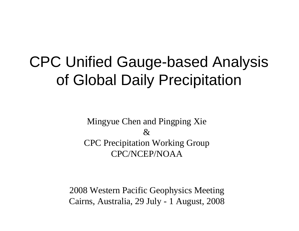# CPC Unified Gauge-based Analysis of Global Daily Precipitation

Mingyue Chen and Pingping Xie &CPC Precipitation Working Group CPC/NCEP/NOAA

2008 Western Pacific Geophysics Meeting Cairns, Australia, 29 July - 1 August, 2008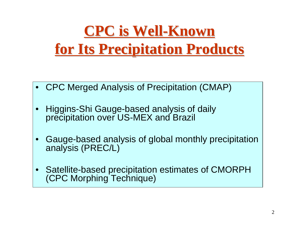# **CPC is Well CPC is Well-Known for Its Precipitation Products for Its Precipitation Products**

- •CPC Merged Analysis of Precipitation (CMAP)
- • Higgins-Shi Gauge-based analysis of daily precipitation over US-MEX and Brazil
- • Gauge-based analysis of global monthly precipitation analysis (PREC/L)
- •• Satellite-based precipitation estimates of CMORPH (CPC Morphing Technique)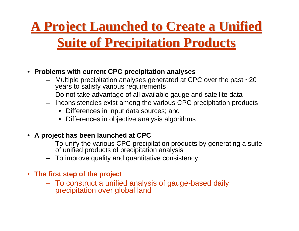#### **A Project Launched to Create a Unified**

#### **Suite of Precipitation Products Suite of Precipitation Products**

- **Problems with current CPC precipitation analyses**
	- Multiple precipitation analyses generated at CPC over the past ~20 years to satisfy various requirements
	- Do not take advantage of all available gauge and satellite data
	- Inconsistencies exist among the various CPC precipitation products
		- Differences in input data sources; and
		- Differences in objective analysis algorithms

#### • **A project has been launched at CPC**

- To unify the various CPC precipitation products by generating a suite of unified products of precipitation analysis
- –To improve quality and quantitative consistency
- **The first step of the project**
	- To construct a unified analysis of gauge-based daily precipitation over global land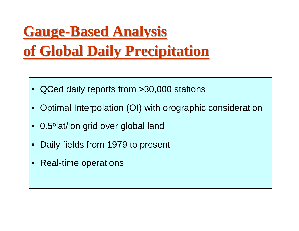# **Gauge-Based Analysis of Global Daily Precipitation of Global Daily Precipitation**

- QCed daily reports from >30,000 stations
- Optimal Interpolation (OI) with orographic consideration
- 0.5ºlat/lon grid over global land
- •Daily fields from 1979 to present
- $\bullet$ Real-time operations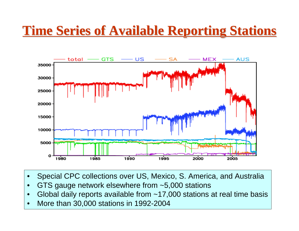#### **Time Series of Available Reporting Stations Time Series of Available Reporting Stations**



- •Special CPC collections over US, Mexico, S. America, and Australia
- •GTS gauge network else where from ~5,000 stations
- •Global daily reports available from ~17,000 stations at real time basis
- •More than 30,000 stations in 1992-2004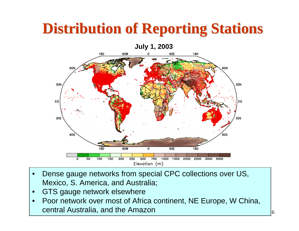# **Distribution of Reporting Stations Distribution of Reporting Stations**



- •Dense gauge networks from special CPC collections over US, Mexico, S. America, and Australia;
- •GTS gauge network else where
- •Poor network over most of Africa continent, NE Europe, W China, central Australia, and the Amazon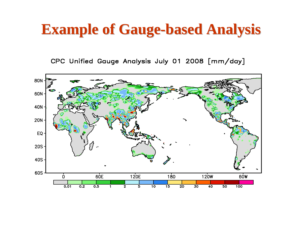## **Example of Gauge Example of Gauge -based Analysis based Analysis**

CPC Unified Gauge Analysis July 01 2008 [mm/day]

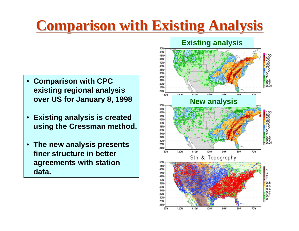## **Comparison with Existing Analysis Comparison with Existing Analysis**

- • **Comparison with CPC existing regional anal y sis over U S for Jan u ary 8, 199 8**
- • **Existing analysis is created using the Cressman method.**
- • **The new anal y sis presents finer structure in better agreements with station data.**

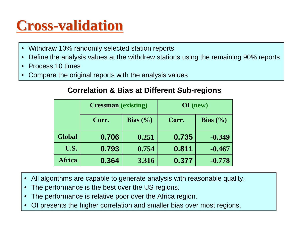# **Cross-validation validation**

- •Withdraw 10% randomly selected station reports
- •Define the analysis values at the withdrew stations using the remaining 90% reports
- •Process 10 times
- •Compare the original reports with the analysis values

#### **Correlation & Bias at Different Sub-regions**

|               | <b>Cressman</b> (existing) |                             | $OI$ (new) |                             |
|---------------|----------------------------|-----------------------------|------------|-----------------------------|
|               | Corr.                      | <b>Bias</b> $(\frac{6}{6})$ | Corr.      | <b>Bias</b> $(\frac{6}{6})$ |
| <b>Global</b> | 0.706                      | 0.251                       | 0.735      | $-0.349$                    |
| U.S.          | 0.793                      | 0.754                       | 0.811      | $-0.467$                    |
| <b>Africa</b> | 0.364                      | 3.316                       | 0.377      | $-0.778$                    |

- •All algorithms are capable to generate analysis with reasonable quality.
- •The performance is the best over the US regions.
- •The performance is relative poor over the Africa region.
- •OI presents the higher correlation and smaller bias over most regions.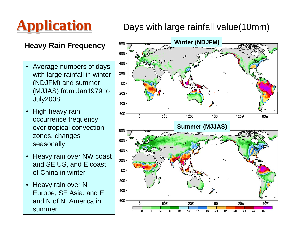

#### **Application Application** Days with large rainfall value(10mm)

#### **Heavy Rain Frequency**

- • Average numbers of days with large rainfall in winter (NDJFM) and summer (MJJAS) from Jan1979 to July2008
- $\bullet$  High heavy rain occurrence frequency over tropical convection zones, changes seasonally
- • Heavy rain over NW coast and SE US, and E coast of China in winter
- • Heavy rain over N Europe, SE Asia, and E and N of N. America in summer

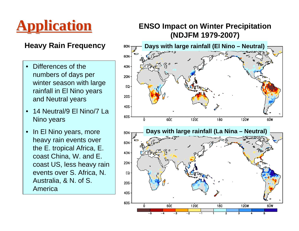

- • Differences of the numbers of days per winter season with large rainfall in El Nino years and Neutral years
- • 14 Neutral/9 El Nino/7 La Nino years
- • In El Nino years, more heavy rain events over the E. tropical Africa, E. coast China, W. and E. coast US, less heavy rain events over S. Africa, N. Australia, & N. of S. America

# **Application Application ENSO Impact on Winter Precipitation (NDJFM 1979-2007)**

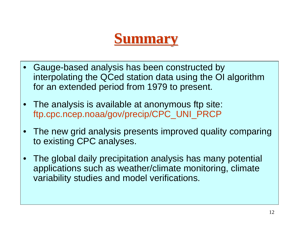## **Summary Summary**

- $\bullet$  Gauge-based analysis has been constructed by interpolating the QCed station data using the OI algorithm for an extended period from 1979 to present.
- The analysis is available at anonymous ftp site: ftp.cpc.ncep.noaa/gov/precip/CPC\_UNI\_PRCP
- The new grid analysis presents improved quality comparing to existing CPC analyses.
- • The global daily precipitation analysis has many potential applications such as weather/climate monitoring, climate variability studies and model verifications.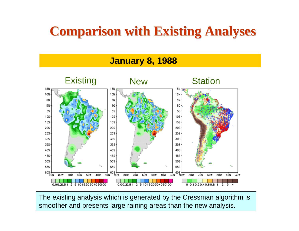### **Comparison with Existing Analyses Comparison with Existing Analyses**



The existing analysis which is generated by the Cressman algorithm is smoother and presents large raining areas than the new analysis.